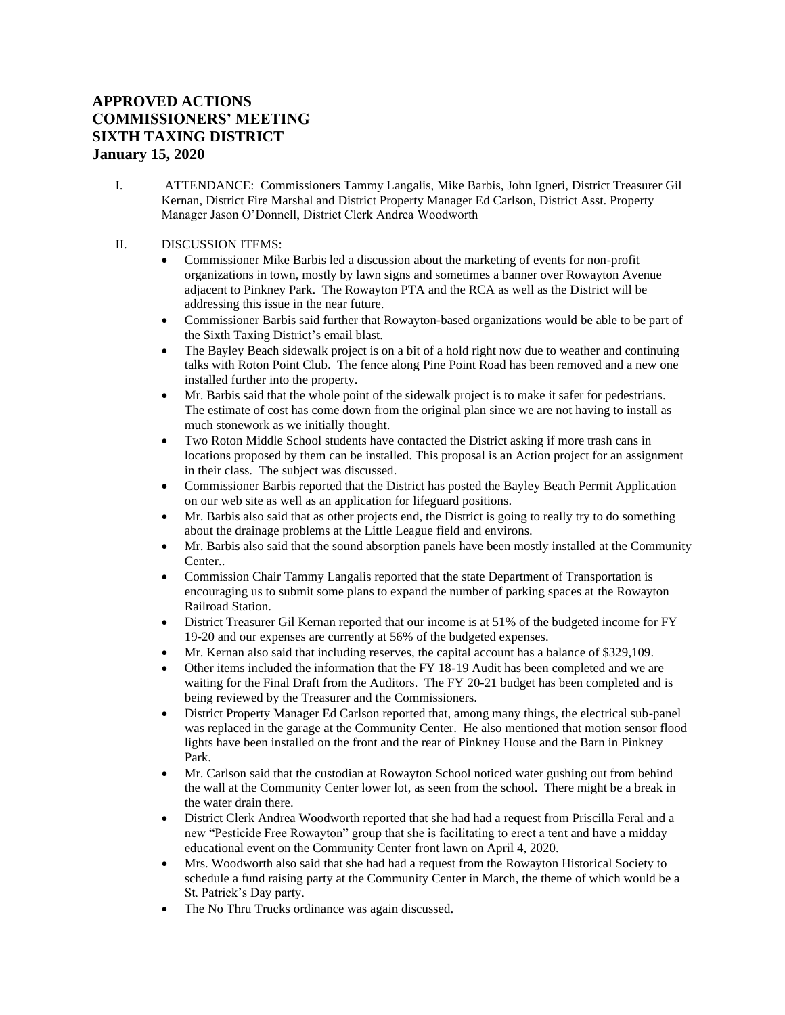## **APPROVED ACTIONS COMMISSIONERS' MEETING SIXTH TAXING DISTRICT January 15, 2020**

- I. ATTENDANCE: Commissioners Tammy Langalis, Mike Barbis, John Igneri, District Treasurer Gil Kernan, District Fire Marshal and District Property Manager Ed Carlson, District Asst. Property Manager Jason O'Donnell, District Clerk Andrea Woodworth
- II. DISCUSSION ITEMS:
	- Commissioner Mike Barbis led a discussion about the marketing of events for non-profit organizations in town, mostly by lawn signs and sometimes a banner over Rowayton Avenue adjacent to Pinkney Park. The Rowayton PTA and the RCA as well as the District will be addressing this issue in the near future.
	- Commissioner Barbis said further that Rowayton-based organizations would be able to be part of the Sixth Taxing District's email blast.
	- The Bayley Beach sidewalk project is on a bit of a hold right now due to weather and continuing talks with Roton Point Club. The fence along Pine Point Road has been removed and a new one installed further into the property.
	- Mr. Barbis said that the whole point of the sidewalk project is to make it safer for pedestrians. The estimate of cost has come down from the original plan since we are not having to install as much stonework as we initially thought.
	- Two Roton Middle School students have contacted the District asking if more trash cans in locations proposed by them can be installed. This proposal is an Action project for an assignment in their class. The subject was discussed.
	- Commissioner Barbis reported that the District has posted the Bayley Beach Permit Application on our web site as well as an application for lifeguard positions.
	- Mr. Barbis also said that as other projects end, the District is going to really try to do something about the drainage problems at the Little League field and environs.
	- Mr. Barbis also said that the sound absorption panels have been mostly installed at the Community Center..
	- Commission Chair Tammy Langalis reported that the state Department of Transportation is encouraging us to submit some plans to expand the number of parking spaces at the Rowayton Railroad Station.
	- District Treasurer Gil Kernan reported that our income is at 51% of the budgeted income for FY 19-20 and our expenses are currently at 56% of the budgeted expenses.
	- Mr. Kernan also said that including reserves, the capital account has a balance of \$329,109.
	- Other items included the information that the FY 18-19 Audit has been completed and we are waiting for the Final Draft from the Auditors. The FY 20-21 budget has been completed and is being reviewed by the Treasurer and the Commissioners.
	- District Property Manager Ed Carlson reported that, among many things, the electrical sub-panel was replaced in the garage at the Community Center. He also mentioned that motion sensor flood lights have been installed on the front and the rear of Pinkney House and the Barn in Pinkney Park.
	- Mr. Carlson said that the custodian at Rowayton School noticed water gushing out from behind the wall at the Community Center lower lot, as seen from the school. There might be a break in the water drain there.
	- District Clerk Andrea Woodworth reported that she had had a request from Priscilla Feral and a new "Pesticide Free Rowayton" group that she is facilitating to erect a tent and have a midday educational event on the Community Center front lawn on April 4, 2020.
	- Mrs. Woodworth also said that she had had a request from the Rowayton Historical Society to schedule a fund raising party at the Community Center in March, the theme of which would be a St. Patrick's Day party.
	- The No Thru Trucks ordinance was again discussed.